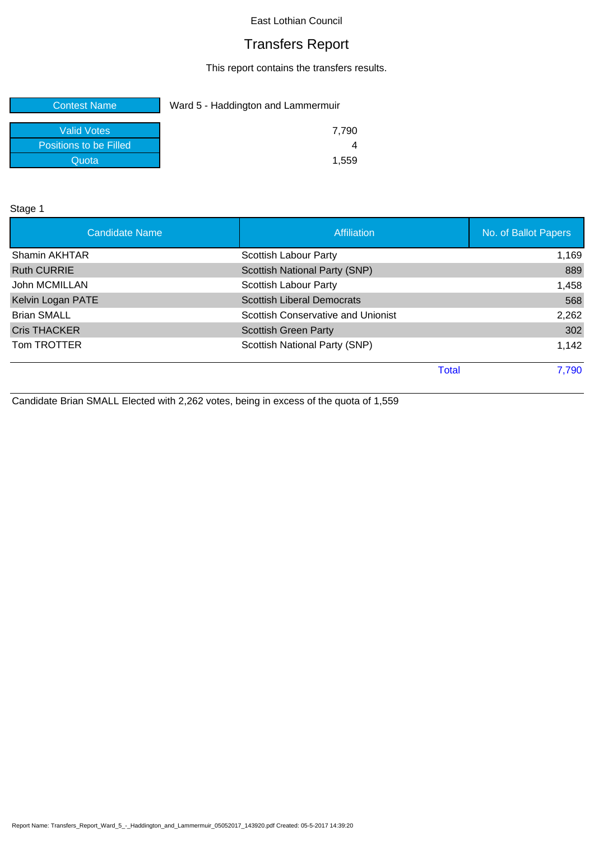# Transfers Report

This report contains the transfers results.

| <b>Contest Name</b>    | Ward 5 - Haddington and Lammermuir |  |
|------------------------|------------------------------------|--|
| Valid Votes            | 7.790                              |  |
| Positions to be Filled |                                    |  |
| Quota                  | 1,559                              |  |

Stage 1

| <b>Candidate Name</b> | Affiliation                        | No. of Ballot Papers |
|-----------------------|------------------------------------|----------------------|
| Shamin AKHTAR         | Scottish Labour Party              | 1,169                |
| <b>Ruth CURRIE</b>    | Scottish National Party (SNP)      | 889                  |
| John MCMILLAN         | Scottish Labour Party              | 1,458                |
| Kelvin Logan PATE     | <b>Scottish Liberal Democrats</b>  | 568                  |
| <b>Brian SMALL</b>    | Scottish Conservative and Unionist | 2,262                |
| <b>Cris THACKER</b>   | <b>Scottish Green Party</b>        | 302                  |
| Tom TROTTER           | Scottish National Party (SNP)      | 1,142                |
|                       | <b>Total</b>                       | 7,790                |

Candidate Brian SMALL Elected with 2,262 votes, being in excess of the quota of 1,559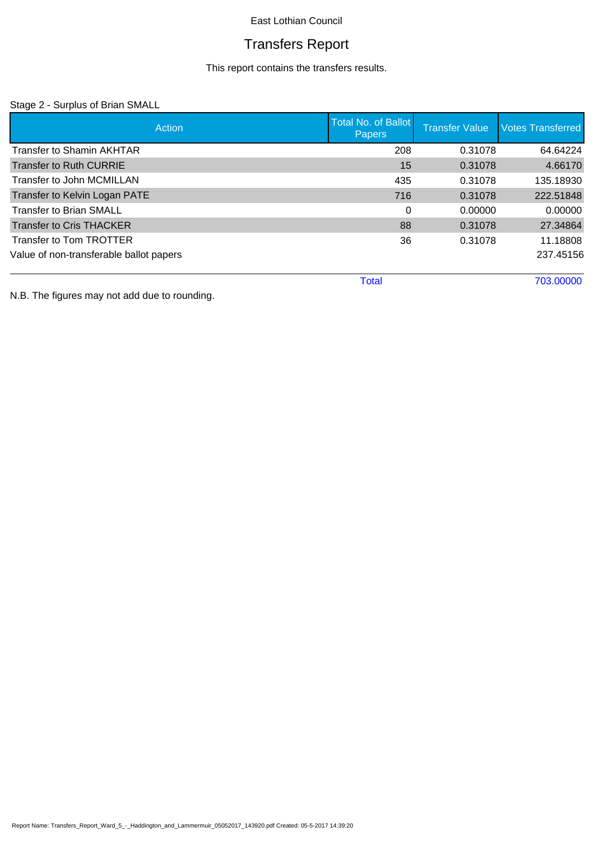# Transfers Report

This report contains the transfers results.

### Stage 2 - Surplus of Brian SMALL

| Action                                  | <b>Total No. of Ballot</b><br><b>Papers</b> | <b>Transfer Value</b> | <b>Votes Transferred</b> |
|-----------------------------------------|---------------------------------------------|-----------------------|--------------------------|
| <b>Transfer to Shamin AKHTAR</b>        | 208                                         | 0.31078               | 64.64224                 |
| <b>Transfer to Ruth CURRIE</b>          | 15                                          | 0.31078               | 4.66170                  |
| Transfer to John MCMILLAN               | 435                                         | 0.31078               | 135.18930                |
| Transfer to Kelvin Logan PATE           | 716                                         | 0.31078               | 222.51848                |
| <b>Transfer to Brian SMALL</b>          | 0                                           | 0.00000               | 0.00000                  |
| <b>Transfer to Cris THACKER</b>         | 88                                          | 0.31078               | 27.34864                 |
| Transfer to Tom TROTTER                 | 36                                          | 0.31078               | 11.18808                 |
| Value of non-transferable ballot papers |                                             |                       | 237.45156                |
|                                         | <b>Total</b>                                |                       | 703.00000                |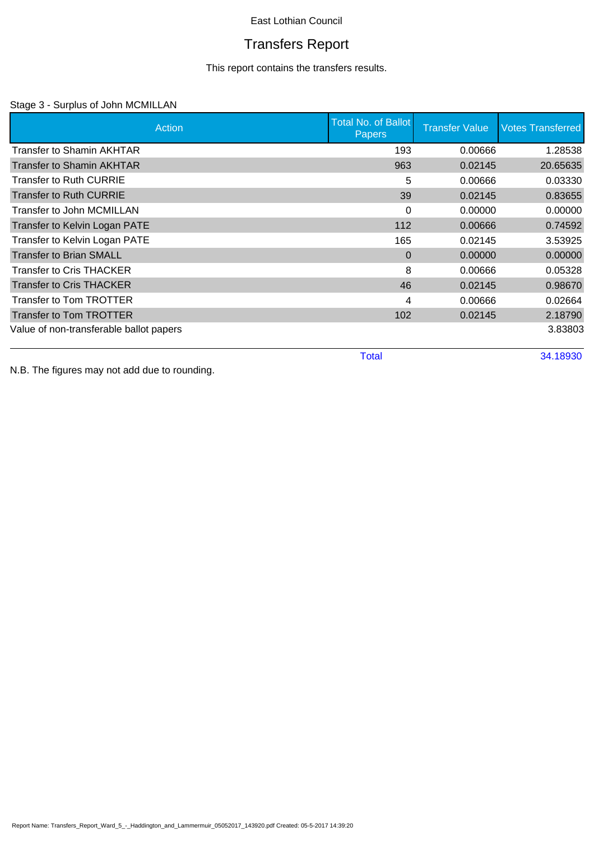# Transfers Report

This report contains the transfers results.

### Stage 3 - Surplus of John MCMILLAN

| Action                                  | Total No. of Ballot<br><b>Papers</b> | <b>Transfer Value</b> | <b>Votes Transferred</b> |
|-----------------------------------------|--------------------------------------|-----------------------|--------------------------|
| <b>Transfer to Shamin AKHTAR</b>        | 193                                  | 0.00666               | 1.28538                  |
| <b>Transfer to Shamin AKHTAR</b>        | 963                                  | 0.02145               | 20.65635                 |
| <b>Transfer to Ruth CURRIE</b>          | 5                                    | 0.00666               | 0.03330                  |
| <b>Transfer to Ruth CURRIE</b>          | 39                                   | 0.02145               | 0.83655                  |
| Transfer to John MCMILLAN               | 0                                    | 0.00000               | 0.00000                  |
| Transfer to Kelvin Logan PATE           | 112                                  | 0.00666               | 0.74592                  |
| Transfer to Kelvin Logan PATE           | 165                                  | 0.02145               | 3.53925                  |
| <b>Transfer to Brian SMALL</b>          | $\Omega$                             | 0.00000               | 0.00000                  |
| <b>Transfer to Cris THACKER</b>         | 8                                    | 0.00666               | 0.05328                  |
| <b>Transfer to Cris THACKER</b>         | 46                                   | 0.02145               | 0.98670                  |
| <b>Transfer to Tom TROTTER</b>          | 4                                    | 0.00666               | 0.02664                  |
| Transfer to Tom TROTTER                 | 102                                  | 0.02145               | 2.18790                  |
| Value of non-transferable ballot papers |                                      |                       | 3.83803                  |
|                                         | <b>Total</b>                         |                       | 34.18930                 |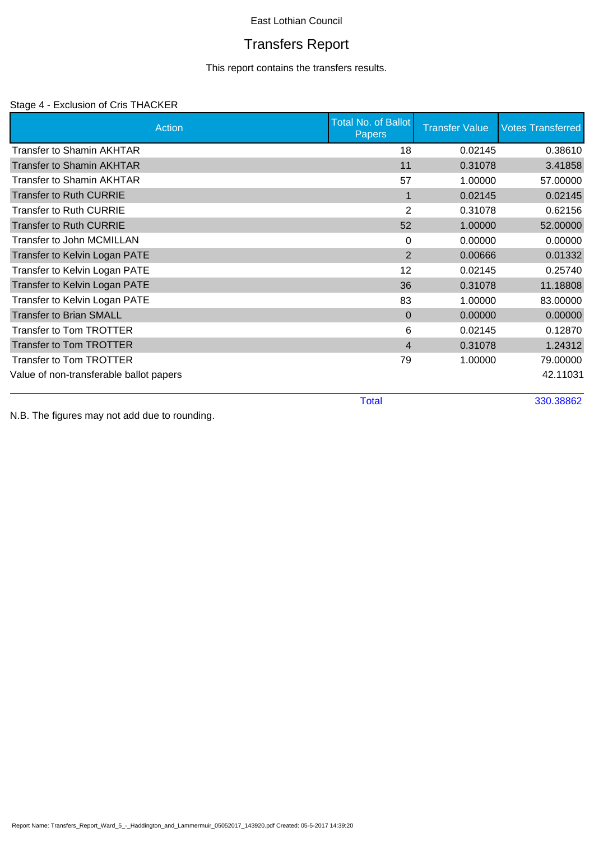# Transfers Report

This report contains the transfers results.

### Stage 4 - Exclusion of Cris THACKER

| Action                                  | <b>Total No. of Ballot</b><br>Papers | <b>Transfer Value</b> | <b>Votes Transferred</b> |
|-----------------------------------------|--------------------------------------|-----------------------|--------------------------|
| <b>Transfer to Shamin AKHTAR</b>        | 18                                   | 0.02145               | 0.38610                  |
| <b>Transfer to Shamin AKHTAR</b>        | 11                                   | 0.31078               | 3.41858                  |
| <b>Transfer to Shamin AKHTAR</b>        | 57                                   | 1.00000               | 57.00000                 |
| <b>Transfer to Ruth CURRIE</b>          |                                      | 0.02145               | 0.02145                  |
| <b>Transfer to Ruth CURRIE</b>          | 2                                    | 0.31078               | 0.62156                  |
| <b>Transfer to Ruth CURRIE</b>          | 52                                   | 1.00000               | 52.00000                 |
| <b>Transfer to John MCMILLAN</b>        | 0                                    | 0.00000               | 0.00000                  |
| Transfer to Kelvin Logan PATE           | $\overline{2}$                       | 0.00666               | 0.01332                  |
| Transfer to Kelvin Logan PATE           | 12                                   | 0.02145               | 0.25740                  |
| Transfer to Kelvin Logan PATE           | 36                                   | 0.31078               | 11.18808                 |
| Transfer to Kelvin Logan PATE           | 83                                   | 1.00000               | 83.00000                 |
| <b>Transfer to Brian SMALL</b>          | $\Omega$                             | 0.00000               | 0.00000                  |
| <b>Transfer to Tom TROTTER</b>          | 6                                    | 0.02145               | 0.12870                  |
| <b>Transfer to Tom TROTTER</b>          | 4                                    | 0.31078               | 1.24312                  |
| Transfer to Tom TROTTER                 | 79                                   | 1.00000               | 79.00000                 |
| Value of non-transferable ballot papers |                                      |                       | 42.11031                 |
|                                         | <b>Total</b>                         |                       | 330.38862                |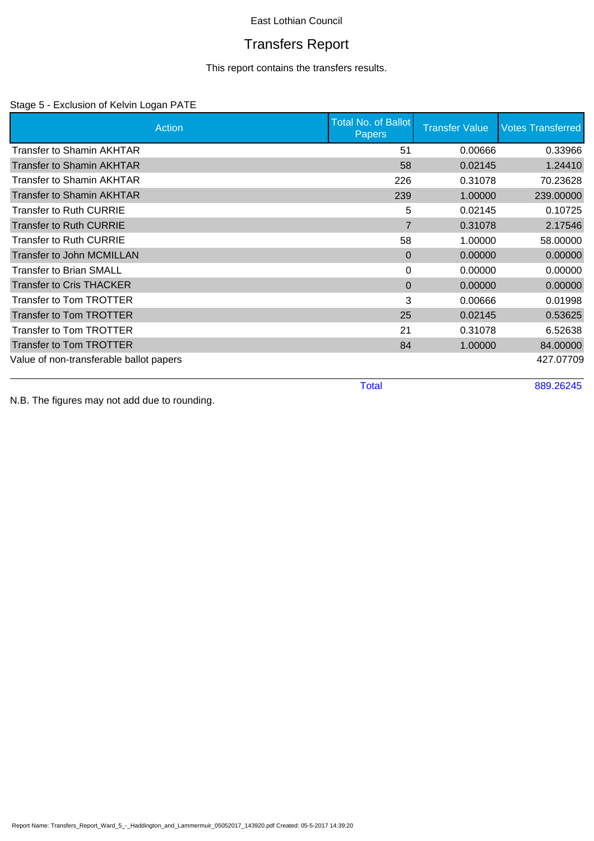# Transfers Report

This report contains the transfers results.

### Stage 5 - Exclusion of Kelvin Logan PATE

| Action                                  | Total No. of Ballot<br><b>Papers</b> | <b>Transfer Value</b> | <b>Votes Transferred</b> |
|-----------------------------------------|--------------------------------------|-----------------------|--------------------------|
| Transfer to Shamin AKHTAR               | 51                                   | 0.00666               | 0.33966                  |
| Transfer to Shamin AKHTAR               | 58                                   | 0.02145               | 1.24410                  |
| Transfer to Shamin AKHTAR               | 226                                  | 0.31078               | 70.23628                 |
| Transfer to Shamin AKHTAR               | 239                                  | 1.00000               | 239.00000                |
| <b>Transfer to Ruth CURRIE</b>          | 5                                    | 0.02145               | 0.10725                  |
| <b>Transfer to Ruth CURRIE</b>          | 7                                    | 0.31078               | 2.17546                  |
| <b>Transfer to Ruth CURRIE</b>          | 58                                   | 1.00000               | 58.00000                 |
| <b>Transfer to John MCMILLAN</b>        | $\Omega$                             | 0.00000               | 0.00000                  |
| Transfer to Brian SMALL                 | 0                                    | 0.00000               | 0.00000                  |
| <b>Transfer to Cris THACKER</b>         | 0                                    | 0.00000               | 0.00000                  |
| <b>Transfer to Tom TROTTER</b>          | 3                                    | 0.00666               | 0.01998                  |
| Transfer to Tom TROTTER                 | 25                                   | 0.02145               | 0.53625                  |
| <b>Transfer to Tom TROTTER</b>          | 21                                   | 0.31078               | 6.52638                  |
| Transfer to Tom TROTTER                 | 84                                   | 1.00000               | 84.00000                 |
| Value of non-transferable ballot papers |                                      |                       | 427.07709                |
|                                         | <b>Total</b>                         |                       | 889.26245                |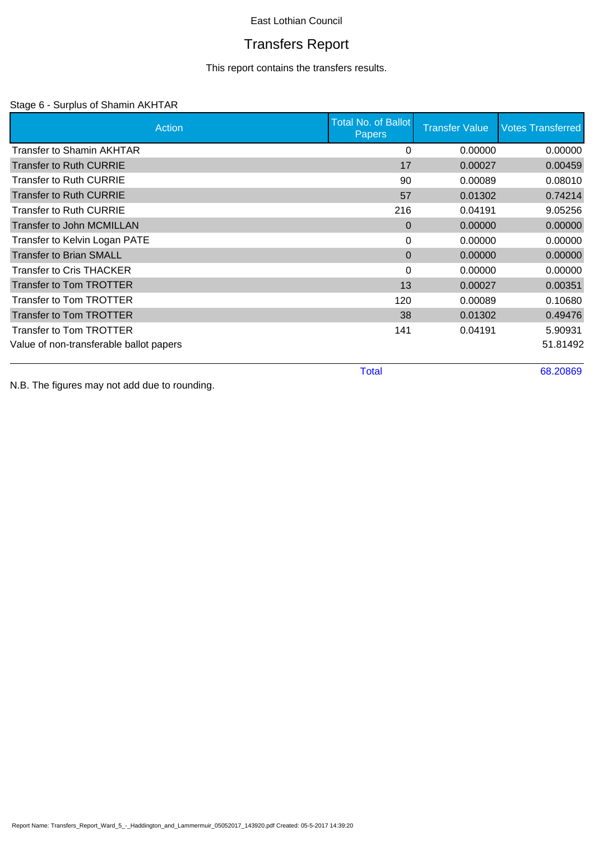# Transfers Report

This report contains the transfers results.

### Stage 6 - Surplus of Shamin AKHTAR

| Action                                  | <b>Total No. of Ballot</b><br><b>Papers</b> | <b>Transfer Value</b> | <b>Votes Transferred</b> |
|-----------------------------------------|---------------------------------------------|-----------------------|--------------------------|
| <b>Transfer to Shamin AKHTAR</b>        | 0                                           | 0.00000               | 0.00000                  |
| <b>Transfer to Ruth CURRIE</b>          | 17                                          | 0.00027               | 0.00459                  |
| <b>Transfer to Ruth CURRIE</b>          | 90                                          | 0.00089               | 0.08010                  |
| <b>Transfer to Ruth CURRIE</b>          | 57                                          | 0.01302               | 0.74214                  |
| <b>Transfer to Ruth CURRIE</b>          | 216                                         | 0.04191               | 9.05256                  |
| Transfer to John MCMILLAN               | $\Omega$                                    | 0.00000               | 0.00000                  |
| Transfer to Kelvin Logan PATE           | 0                                           | 0.00000               | 0.00000                  |
| <b>Transfer to Brian SMALL</b>          | $\Omega$                                    | 0.00000               | 0.00000                  |
| <b>Transfer to Cris THACKER</b>         | 0                                           | 0.00000               | 0.00000                  |
| <b>Transfer to Tom TROTTER</b>          | 13                                          | 0.00027               | 0.00351                  |
| Transfer to Tom TROTTER                 | 120                                         | 0.00089               | 0.10680                  |
| <b>Transfer to Tom TROTTER</b>          | 38                                          | 0.01302               | 0.49476                  |
| Transfer to Tom TROTTER                 | 141                                         | 0.04191               | 5.90931                  |
| Value of non-transferable ballot papers |                                             |                       | 51.81492                 |

Total 68.20869